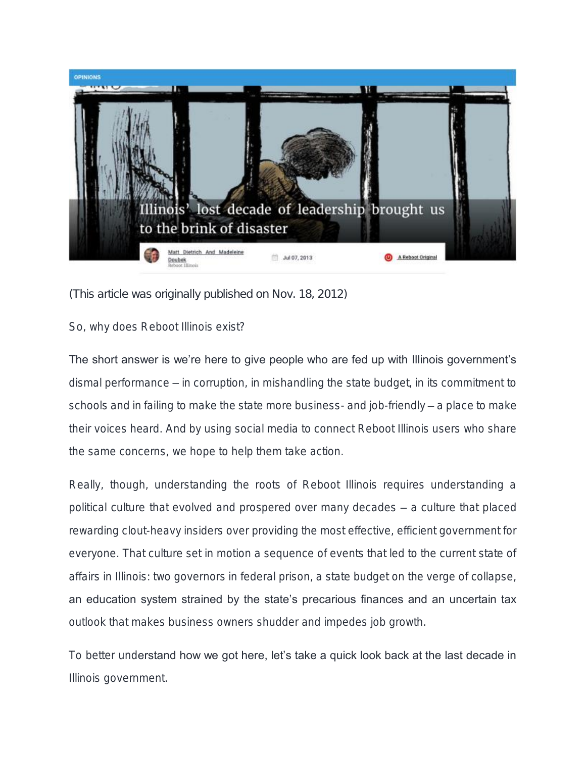

*(This article was originally published on Nov. 18, 2012)*

So, why does Reboot Illinois exist?

The short answer is we're here to give people who are fed up with Illinois government's dismal performance – in corruption, in mishandling the state budget, in its commitment to schools and in failing to make the state more business- and job-friendly – a place to make their voices heard. And by using social media to connect Reboot Illinois users who share the same concerns, we hope to help them take action.

Really, though, understanding the roots of Reboot Illinois requires understanding a political culture that evolved and prospered over many decades – a culture that placed rewarding clout-heavy insiders over providing the most effective, efficient government for everyone. That culture set in motion a sequence of events that led to the current state of affairs in Illinois: two governors in federal prison, a state budget on the verge of collapse, an education system strained by the state's precarious finances and an uncertain tax outlook that makes business owners shudder and impedes job growth.

To better understand how we got here, let's take a quick look back at the last decade in Illinois government.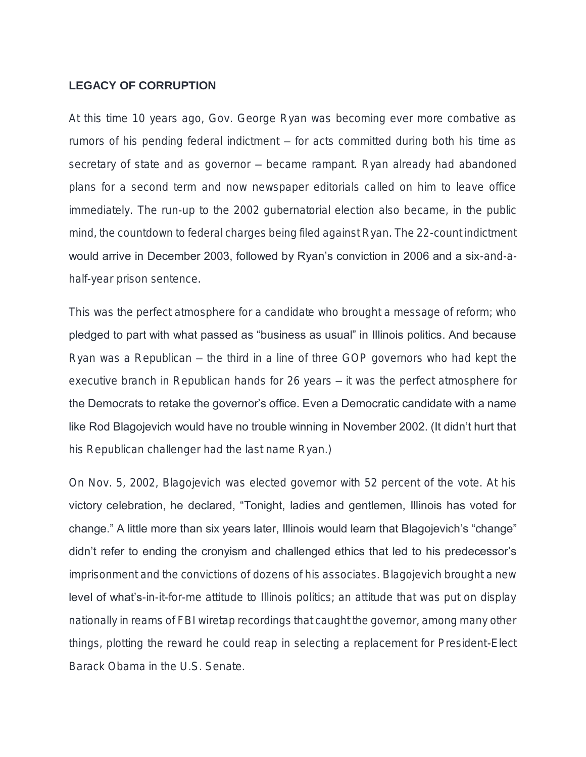# **LEGACY OF CORRUPTION**

At this time 10 years ago, Gov. George Ryan was becoming ever more combative as rumors of his pending federal indictment – for acts committed during both his time as secretary of state and as governor – became rampant. Ryan already had abandoned plans for a second term and now newspaper editorials called on him to leave office immediately. The run-up to the 2002 gubernatorial election also became, in the public mind, the countdown to federal charges being filed against Ryan. The 22-count indictment would arrive in December 2003, followed by Ryan's conviction in 2006 and a six-and-ahalf-year prison sentence.

This was the perfect atmosphere for a candidate who brought a message of reform; who pledged to part with what passed as "business as usual" in Illinois politics. And because Ryan was a Republican – the third in a line of three GOP governors who had kept the executive branch in Republican hands for 26 years – it was the perfect atmosphere for the Democrats to retake the governor's office. Even a Democratic candidate with a name like Rod Blagojevich would have no trouble winning in November 2002. (It didn't hurt that his Republican challenger had the last name Ryan.)

On Nov. 5, 2002, Blagojevich was elected governor with 52 percent of the vote. At his victory celebration, he declared, "Tonight, ladies and gentlemen, Illinois has voted for change." A little more than six years later, Illinois would learn that Blagojevich's "change" didn't refer to ending the cronyism and challenged ethics that led to his predecessor's imprisonment and the convictions of dozens of his associates. Blagojevich brought a new level of what's-in-it-for-me attitude to Illinois politics; an attitude that was put on display nationally in reams of FBI wiretap recordings that caught the governor, among many other things, plotting the reward he could reap in selecting a replacement for President-Elect Barack Obama in the U.S. Senate.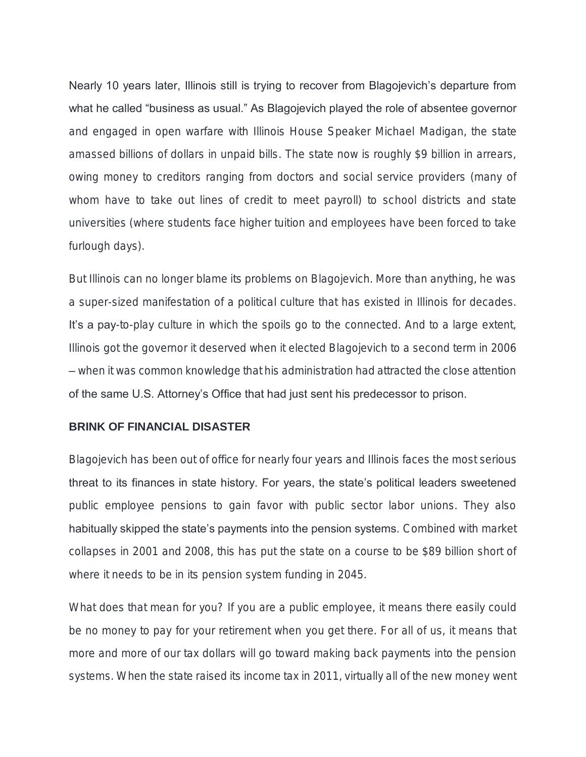Nearly 10 years later, Illinois still is trying to recover from Blagojevich's departure from what he called "business as usual." As Blagojevich played the role of absentee governor and engaged in open warfare with Illinois House Speaker Michael Madigan, the state amassed billions of dollars in unpaid bills. The state now is roughly \$9 billion in arrears, owing money to creditors ranging from doctors and social service providers (many of whom have to take out lines of credit to meet payroll) to school districts and state universities (where students face higher tuition and employees have been forced to take furlough days).

But Illinois can no longer blame its problems on Blagojevich. More than anything, he was a super-sized manifestation of a political culture that has existed in Illinois for decades. It's a pay-to-play culture in which the spoils go to the connected. And to a large extent, Illinois got the governor it deserved when it elected Blagojevich to a second term in 2006 – when it was common knowledge that his administration had attracted the close attention of the same U.S. Attorney's Office that had just sent his predecessor to prison.

## **BRINK OF FINANCIAL DISASTER**

Blagojevich has been out of office for nearly four years and Illinois faces the most serious threat to its finances in state history. For years, the state's political leaders sweetened public employee pensions to gain favor with public sector labor unions. They also habitually skipped the state's payments into the pension systems. Combined with market collapses in 2001 and 2008, this has put the state on a course to be \$89 billion short of where it needs to be in its pension system funding in 2045.

What does that mean for you? If you are a public employee, it means there easily could be no money to pay for your retirement when you get there. For all of us, it means that more and more of our tax dollars will go toward making back payments into the pension systems. When the state raised its income tax in 2011, virtually all of the new money went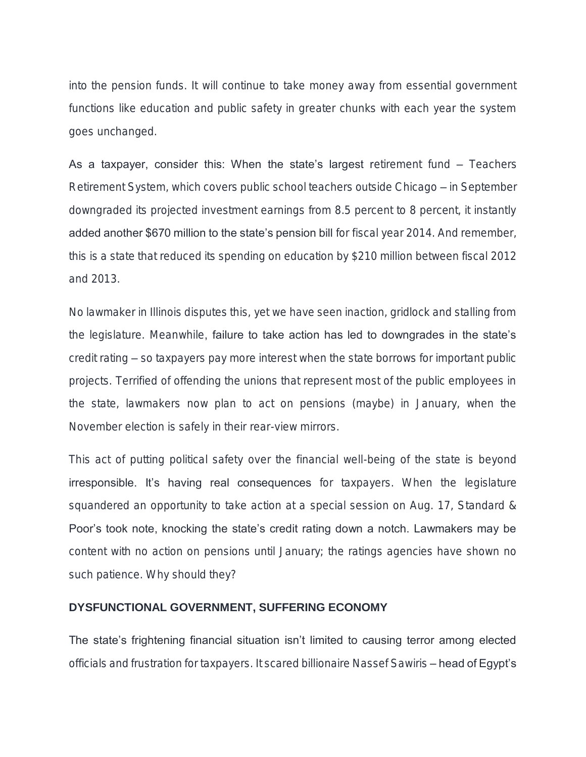into the pension funds. It will continue to take money away from essential government functions like education and public safety in greater chunks with each year the system goes unchanged.

As a taxpayer, consider this: When the state's largest retirement fund – Teachers Retirement System, which covers public school teachers outside Chicago – in September downgraded its projected investment earnings from 8.5 percent to 8 percent, it instantly added another \$670 million to the state's pension bill for fiscal year 2014. And remember, this is a state that reduced its spending on education by \$210 million between fiscal 2012 and 2013.

No lawmaker in Illinois disputes this, yet we have seen inaction, gridlock and stalling from the legislature. Meanwhile, failure to take action has led to downgrades in the state's credit rating – so taxpayers pay more interest when the state borrows for important public projects. Terrified of offending the unions that represent most of the public employees in the state, lawmakers now plan to act on pensions (maybe) in January, when the November election is safely in their rear-view mirrors.

This act of putting political safety over the financial well-being of the state is beyond irresponsible. It's having real consequences for taxpayers. When the legislature squandered an opportunity to take action at a special session on Aug. 17, Standard & Poor's took note, knocking the state's credit rating down a notch. Lawmakers may be content with no action on pensions until January; the ratings agencies have shown no such patience. Why should they?

### **DYSFUNCTIONAL GOVERNMENT, SUFFERING ECONOMY**

The state's frightening financial situation isn't limited to causing terror among elected officials and frustration for taxpayers. It scared billionaire Nassef Sawiris - head of Egypt's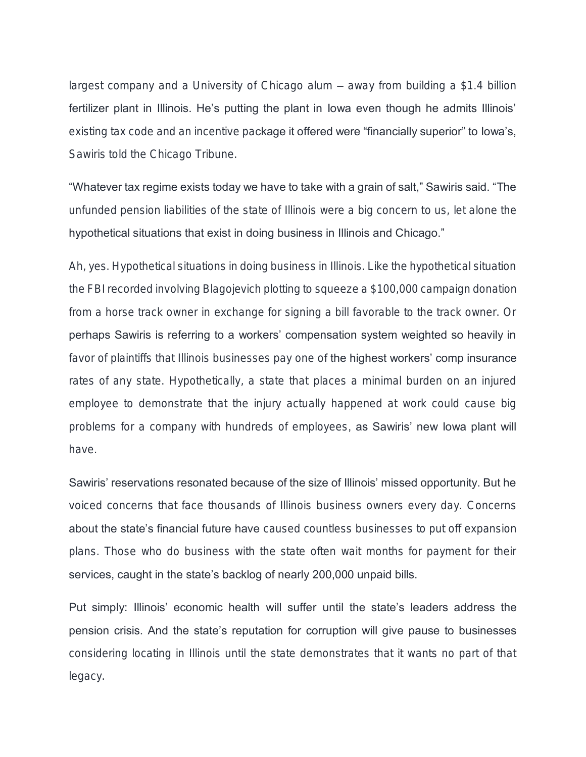largest company and a University of Chicago alum – away from building a \$1.4 billion fertilizer plant in Illinois. He's putting the plant in Iowa even though he admits Illinois' existing tax code and an incentive package it offered were "financially superior" to lowa's, Sawiris told the Chicago Tribune.

"Whatever tax regime exists today we have to take with a grain of salt," Sawiris said. "The unfunded pension liabilities of the state of Illinois were a big concern to us, let alone the hypothetical situations that exist in doing business in Illinois and Chicago."

Ah, yes. Hypothetical situations in doing business in Illinois. Like the hypothetical situation the FBI recorded involving Blagojevich plotting to squeeze a \$100,000 campaign donation from a horse track owner in exchange for signing a bill favorable to the track owner. Or perhaps Sawiris is referring to a workers' compensation system weighted so heavily in favor of plaintiffs that Illinois businesses pay one of the highest workers' comp insurance rates of any state. Hypothetically, a state that places a minimal burden on an injured employee to demonstrate that the injury actually happened at work could cause big problems for a company with hundreds of employees, as Sawiris' new lowa plant will have.

Sawiris' reservations resonated because of the size of Illinois' missed opportunity. But he voiced concerns that face thousands of Illinois business owners every day. Concerns about the state's financial future have caused countless businesses to put off expansion plans. Those who do business with the state often wait months for payment for their services, caught in the state's backlog of nearly 200,000 unpaid bills.

Put simply: Illinois' economic health will suffer until the state's leaders address the pension crisis. And the state's reputation for corruption will give pause to businesses considering locating in Illinois until the state demonstrates that it wants no part of that legacy.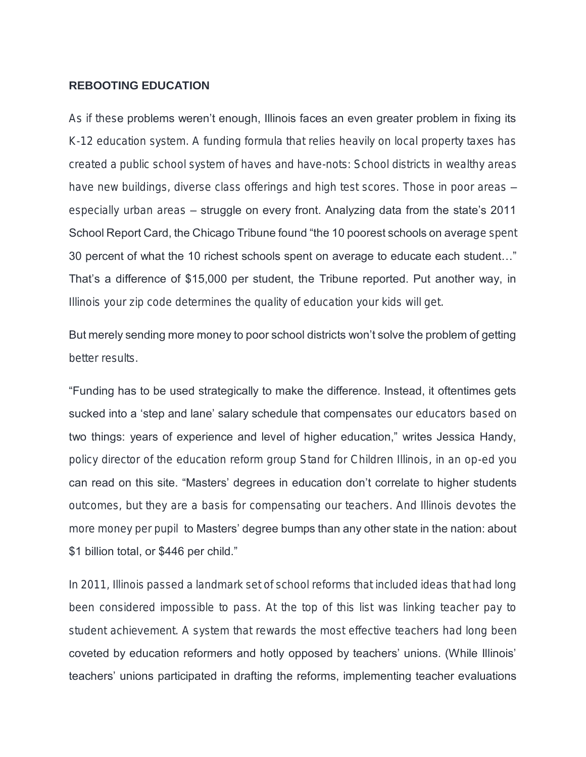#### **REBOOTING EDUCATION**

As if these problems weren't enough, Illinois faces an even greater problem in fixing its K-12 education system. A funding formula that relies heavily on local property taxes has created a public school system of haves and have-nots: School districts in wealthy areas have new buildings, diverse class offerings and high test scores. Those in poor areas especially urban areas – struggle on every front. Analyzing data from the state's 2011 School Report Card, the Chicago Tribune found "the 10 poorest schools on average spent 30 percent of what the 10 richest schools spent on average to educate each student…" That's a difference of \$15,000 per student, the Tribune reported. Put another way, in Illinois your zip code determines the quality of education your kids will get.

But merely sending more money to poor school districts won't solve the problem of getting better results.

"Funding has to be used strategically to make the difference. Instead, it oftentimes gets sucked into a 'step and lane' salary schedule that compensates our educators based on two things: years of experience and level of higher education," writes Jessica Handy, policy director of the education reform group Stand for Children Illinois, in an op-ed you can read on this site. "Masters' degrees in education don't correlate to higher students outcomes, but they are a basis for compensating our teachers. And Illinois devotes the more money per pupil to Masters' degree bumps than any other state in the nation: about \$1 billion total, or \$446 per child."

In 2011, Illinois passed a landmark set of school reforms that included ideas that had long been considered impossible to pass. At the top of this list was linking teacher pay to student achievement. A system that rewards the most effective teachers had long been coveted by education reformers and hotly opposed by teachers' unions. (While Illinois' teachers' unions participated in drafting the reforms, implementing teacher evaluations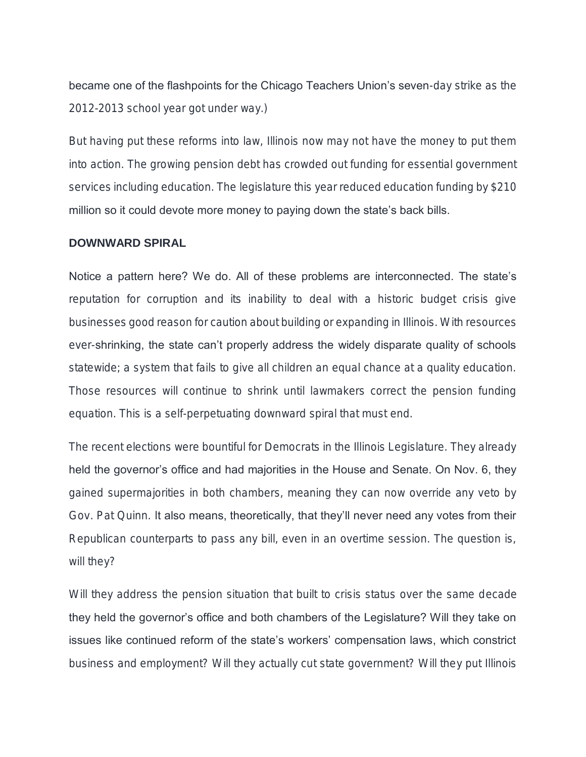became one of the flashpoints for the Chicago Teachers Union's seven-day strike as the 2012-2013 school year got under way.)

But having put these reforms into law, Illinois now may not have the money to put them into action. The growing pension debt has crowded out funding for essential government services including education. The legislature this year reduced education funding by \$210 million so it could devote more money to paying down the state's back bills.

### **DOWNWARD SPIRAL**

Notice a pattern here? We do. All of these problems are interconnected. The state's reputation for corruption and its inability to deal with a historic budget crisis give businesses good reason for caution about building or expanding in Illinois. With resources ever-shrinking, the state can't properly address the widely disparate quality of schools statewide; a system that fails to give all children an equal chance at a quality education. Those resources will continue to shrink until lawmakers correct the pension funding equation. This is a self-perpetuating downward spiral that must end.

The recent elections were bountiful for Democrats in the Illinois Legislature. They already held the governor's office and had majorities in the House and Senate. On Nov. 6, they gained supermajorities in both chambers, meaning they can now override any veto by Gov. Pat Quinn. It also means, theoretically, that they'll never need any votes from their Republican counterparts to pass any bill, even in an overtime session. The question is, will they?

Will they address the pension situation that built to crisis status over the same decade they held the governor's office and both chambers of the Legislature? Will they take on issues like continued reform of the state's workers' compensation laws, which constrict business and employment? Will they actually cut state government? Will they put Illinois